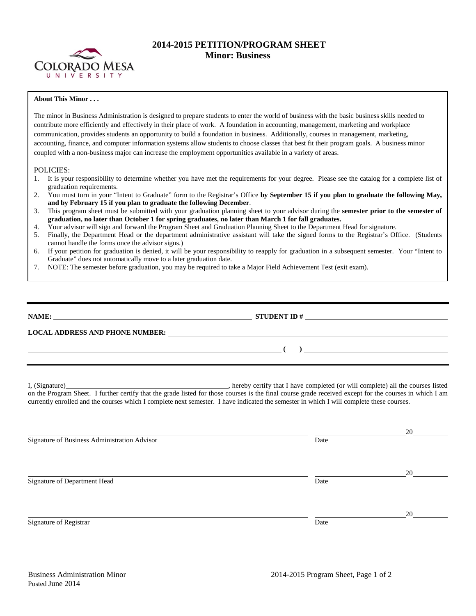

## **2014-2015 PETITION/PROGRAM SHEET Minor: Business**

## **About This Minor . . .**

The minor in Business Administration is designed to prepare students to enter the world of business with the basic business skills needed to contribute more efficiently and effectively in their place of work. A foundation in accounting, management, marketing and workplace communication, provides students an opportunity to build a foundation in business. Additionally, courses in management, marketing, accounting, finance, and computer information systems allow students to choose classes that best fit their program goals. A business minor coupled with a non-business major can increase the employment opportunities available in a variety of areas.

## POLICIES:

- 1. It is your responsibility to determine whether you have met the requirements for your degree. Please see the catalog for a complete list of graduation requirements.
- 2. You must turn in your "Intent to Graduate" form to the Registrar's Office **by September 15 if you plan to graduate the following May, and by February 15 if you plan to graduate the following December**.
- 3. This program sheet must be submitted with your graduation planning sheet to your advisor during the **semester prior to the semester of graduation, no later than October 1 for spring graduates, no later than March 1 for fall graduates.**
- 4. Your advisor will sign and forward the Program Sheet and Graduation Planning Sheet to the Department Head for signature.
- 5. Finally, the Department Head or the department administrative assistant will take the signed forms to the Registrar's Office. (Students cannot handle the forms once the advisor signs.)
- 6. If your petition for graduation is denied, it will be your responsibility to reapply for graduation in a subsequent semester. Your "Intent to Graduate" does not automatically move to a later graduation date.
- 7. NOTE: The semester before graduation, you may be required to take a Major Field Achievement Test (exit exam).

| NAME:                                  | <b>STUDENT ID#</b>                                              |  |
|----------------------------------------|-----------------------------------------------------------------|--|
| <b>LOCAL ADDRESS AND PHONE NUMBER:</b> | <u> 1989 - John Stein, Amerikaansk konstantinopler († 1989)</u> |  |

I, (Signature) , hereby certify that I have completed (or will complete) all the courses listed on the Program Sheet. I further certify that the grade listed for those courses is the final course grade received except for the courses in which I am currently enrolled and the courses which I complete next semester. I have indicated the semester in which I will complete these courses.

|                                              |      | 20 |
|----------------------------------------------|------|----|
| Signature of Business Administration Advisor | Date |    |
|                                              |      |    |
|                                              |      |    |
|                                              |      | 20 |
| Signature of Department Head                 | Date |    |
|                                              |      |    |
|                                              |      |    |
|                                              |      | 20 |
| Signature of Registrar                       | Date |    |
|                                              |      |    |